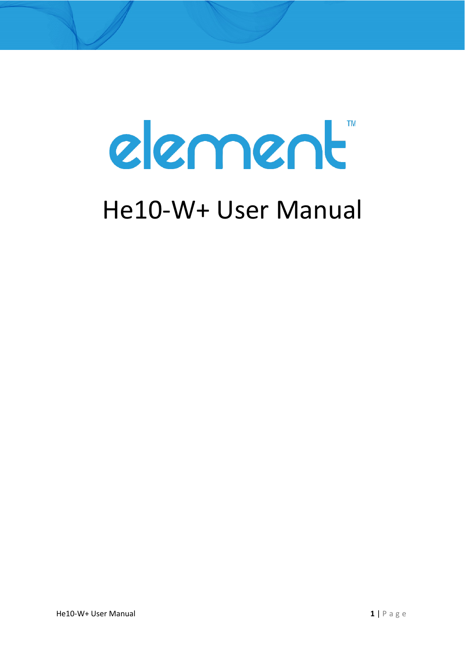# element

# He10-W+ User Manual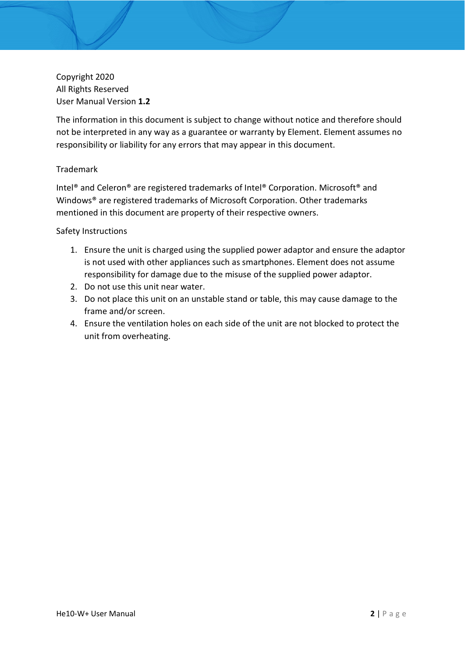Copyright 2020 All Rights Reserved User Manual Version **1.2**

The information in this document is subject to change without notice and therefore should not be interpreted in any way as a guarantee or warranty by Element. Element assumes no responsibility or liability for any errors that may appear in this document.

#### Trademark

Intel® and Celeron® are registered trademarks of Intel® Corporation. Microsoft® and Windows® are registered trademarks of Microsoft Corporation. Other trademarks mentioned in this document are property of their respective owners.

#### Safety Instructions

- 1. Ensure the unit is charged using the supplied power adaptor and ensure the adaptor is not used with other appliances such as smartphones. Element does not assume responsibility for damage due to the misuse of the supplied power adaptor.
- 2. Do not use this unit near water.
- 3. Do not place this unit on an unstable stand or table, this may cause damage to the frame and/or screen.
- 4. Ensure the ventilation holes on each side of the unit are not blocked to protect the unit from overheating.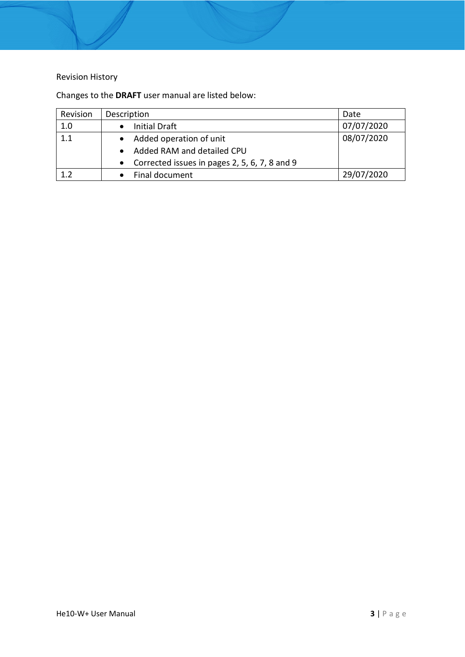#### Revision History

Changes to the **DRAFT** user manual are listed below:

| Revision | Description                                   | Date       |
|----------|-----------------------------------------------|------------|
| 1.0      | <b>Initial Draft</b>                          | 07/07/2020 |
| 1.1      | Added operation of unit                       | 08/07/2020 |
|          | Added RAM and detailed CPU                    |            |
|          | Corrected issues in pages 2, 5, 6, 7, 8 and 9 |            |
| 1.2      | Final document                                | 29/07/2020 |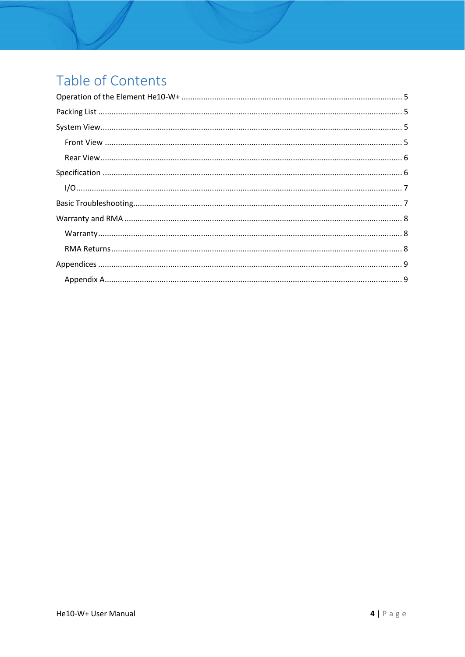## Table of Contents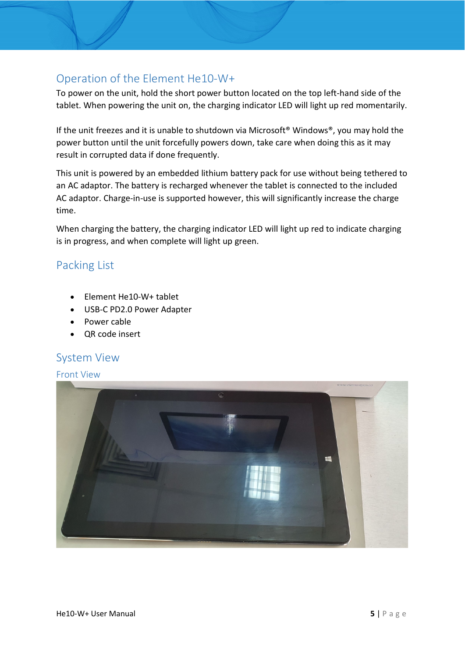#### <span id="page-4-0"></span>Operation of the Element He10-W+

To power on the unit, hold the short power button located on the top left-hand side of the tablet. When powering the unit on, the charging indicator LED will light up red momentarily.

If the unit freezes and it is unable to shutdown via Microsoft® Windows®, you may hold the power button until the unit forcefully powers down, take care when doing this as it may result in corrupted data if done frequently.

This unit is powered by an embedded lithium battery pack for use without being tethered to an AC adaptor. The battery is recharged whenever the tablet is connected to the included AC adaptor. Charge-in-use is supported however, this will significantly increase the charge time.

When charging the battery, the charging indicator LED will light up red to indicate charging is in progress, and when complete will light up green.

#### <span id="page-4-1"></span>Packing List

- Element He10-W+ tablet
- USB-C PD2.0 Power Adapter
- Power cable
- QR code insert

#### <span id="page-4-2"></span>System View

#### <span id="page-4-3"></span>Front View

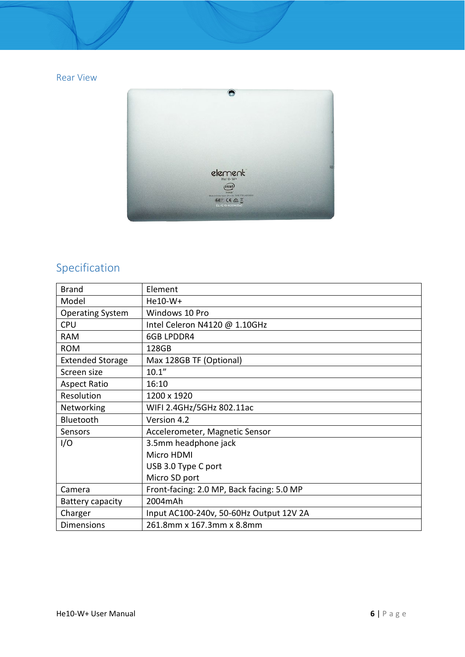#### <span id="page-5-0"></span>Rear View



### <span id="page-5-1"></span>Specification

| <b>Brand</b>            | Element                                   |
|-------------------------|-------------------------------------------|
| Model                   | He10-W+                                   |
| <b>Operating System</b> | Windows 10 Pro                            |
| <b>CPU</b>              | Intel Celeron N4120 @ 1.10GHz             |
| <b>RAM</b>              | <b>6GB LPDDR4</b>                         |
| <b>ROM</b>              | 128GB                                     |
| <b>Extended Storage</b> | Max 128GB TF (Optional)                   |
| Screen size             | 10.1"                                     |
| <b>Aspect Ratio</b>     | 16:10                                     |
| Resolution              | 1200 x 1920                               |
| Networking              | WIFI 2.4GHz/5GHz 802.11ac                 |
| Bluetooth               | Version 4.2                               |
| Sensors                 | Accelerometer, Magnetic Sensor            |
| I/O                     | 3.5mm headphone jack                      |
|                         | Micro HDMI                                |
|                         | USB 3.0 Type C port                       |
|                         | Micro SD port                             |
| Camera                  | Front-facing: 2.0 MP, Back facing: 5.0 MP |
| Battery capacity        | 2004mAh                                   |
| Charger                 | Input AC100-240v, 50-60Hz Output 12V 2A   |
| <b>Dimensions</b>       | 261.8mm x 167.3mm x 8.8mm                 |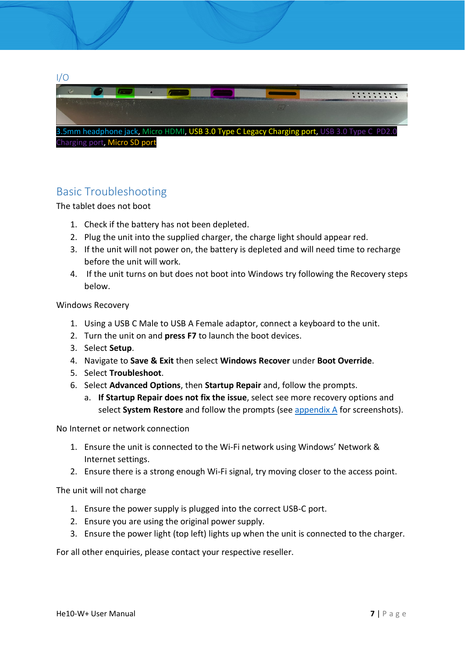<span id="page-6-0"></span>

#### <span id="page-6-1"></span>Basic Troubleshooting

The tablet does not boot

- 1. Check if the battery has not been depleted.
- 2. Plug the unit into the supplied charger, the charge light should appear red.
- 3. If the unit will not power on, the battery is depleted and will need time to recharge before the unit will work.
- 4. If the unit turns on but does not boot into Windows try following the Recovery steps below.

Windows Recovery

- 1. Using a USB C Male to USB A Female adaptor, connect a keyboard to the unit.
- 2. Turn the unit on and **press F7** to launch the boot devices.
- 3. Select **Setup**.
- 4. Navigate to **Save & Exit** then select **Windows Recover** under **Boot Override**.
- 5. Select **Troubleshoot**.
- 6. Select **Advanced Options**, then **Startup Repair** and, follow the prompts.
	- a. **If Startup Repair does not fix the issue**, select see more recovery options and select **System Restore** and follow the prompts (see [appendix A](#page-8-1) for screenshots).

No Internet or network connection

- 1. Ensure the unit is connected to the Wi-Fi network using Windows' Network & Internet settings.
- 2. Ensure there is a strong enough Wi-Fi signal, try moving closer to the access point.

The unit will not charge

- 1. Ensure the power supply is plugged into the correct USB-C port.
- 2. Ensure you are using the original power supply.
- 3. Ensure the power light (top left) lights up when the unit is connected to the charger.

For all other enquiries, please contact your respective reseller.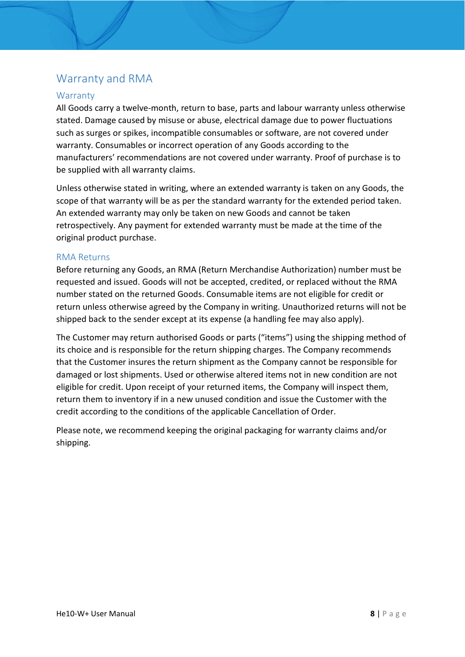#### <span id="page-7-0"></span>Warranty and RMA

#### <span id="page-7-1"></span>**Warranty**

All Goods carry a twelve-month, return to base, parts and labour warranty unless otherwise stated. Damage caused by misuse or abuse, electrical damage due to power fluctuations such as surges or spikes, incompatible consumables or software, are not covered under warranty. Consumables or incorrect operation of any Goods according to the manufacturers' recommendations are not covered under warranty. Proof of purchase is to be supplied with all warranty claims.

Unless otherwise stated in writing, where an extended warranty is taken on any Goods, the scope of that warranty will be as per the standard warranty for the extended period taken. An extended warranty may only be taken on new Goods and cannot be taken retrospectively. Any payment for extended warranty must be made at the time of the original product purchase.

#### <span id="page-7-2"></span>RMA Returns

Before returning any Goods, an RMA (Return Merchandise Authorization) number must be requested and issued. Goods will not be accepted, credited, or replaced without the RMA number stated on the returned Goods. Consumable items are not eligible for credit or return unless otherwise agreed by the Company in writing. Unauthorized returns will not be shipped back to the sender except at its expense (a handling fee may also apply).

The Customer may return authorised Goods or parts ("items") using the shipping method of its choice and is responsible for the return shipping charges. The Company recommends that the Customer insures the return shipment as the Company cannot be responsible for damaged or lost shipments. Used or otherwise altered items not in new condition are not eligible for credit. Upon receipt of your returned items, the Company will inspect them, return them to inventory if in a new unused condition and issue the Customer with the credit according to the conditions of the applicable Cancellation of Order.

Please note, we recommend keeping the original packaging for warranty claims and/or shipping.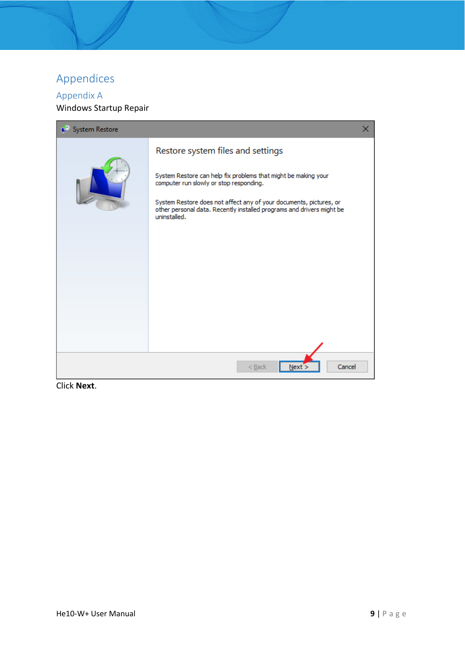#### <span id="page-8-0"></span>Appendices

#### <span id="page-8-1"></span>Appendix A Windows Startup Repair



Click **Next**.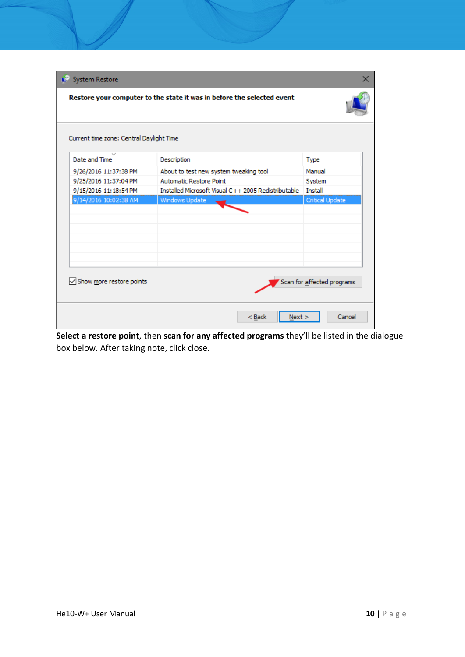| Restore your computer to the state it was in before the selected event<br>Current time zone: Central Daylight Time<br>Date and Time<br>Description<br>Type<br>9/26/2016 11:37:38 PM<br>Manual<br>About to test new system tweaking tool<br>9/25/2016 11:37:04 PM<br>Automatic Restore Point<br>System<br>Installed Microsoft Visual C++ 2005 Redistributable<br>9/15/2016 11:18:54 PM<br><b>Install</b><br>9/14/2016 10:02:38 AM<br>Critical Update<br>Windows Update<br>Show more restore points<br>Scan for affected programs | System Restore | x |
|---------------------------------------------------------------------------------------------------------------------------------------------------------------------------------------------------------------------------------------------------------------------------------------------------------------------------------------------------------------------------------------------------------------------------------------------------------------------------------------------------------------------------------|----------------|---|
|                                                                                                                                                                                                                                                                                                                                                                                                                                                                                                                                 |                |   |
|                                                                                                                                                                                                                                                                                                                                                                                                                                                                                                                                 |                |   |
|                                                                                                                                                                                                                                                                                                                                                                                                                                                                                                                                 |                |   |
|                                                                                                                                                                                                                                                                                                                                                                                                                                                                                                                                 |                |   |
|                                                                                                                                                                                                                                                                                                                                                                                                                                                                                                                                 |                |   |
|                                                                                                                                                                                                                                                                                                                                                                                                                                                                                                                                 |                |   |
|                                                                                                                                                                                                                                                                                                                                                                                                                                                                                                                                 |                |   |
|                                                                                                                                                                                                                                                                                                                                                                                                                                                                                                                                 |                |   |
|                                                                                                                                                                                                                                                                                                                                                                                                                                                                                                                                 |                |   |
|                                                                                                                                                                                                                                                                                                                                                                                                                                                                                                                                 |                |   |
|                                                                                                                                                                                                                                                                                                                                                                                                                                                                                                                                 |                |   |
|                                                                                                                                                                                                                                                                                                                                                                                                                                                                                                                                 |                |   |
|                                                                                                                                                                                                                                                                                                                                                                                                                                                                                                                                 |                |   |
|                                                                                                                                                                                                                                                                                                                                                                                                                                                                                                                                 |                |   |
|                                                                                                                                                                                                                                                                                                                                                                                                                                                                                                                                 |                |   |
|                                                                                                                                                                                                                                                                                                                                                                                                                                                                                                                                 |                |   |
|                                                                                                                                                                                                                                                                                                                                                                                                                                                                                                                                 |                |   |
| Cancel<br>$<$ Back<br>Next                                                                                                                                                                                                                                                                                                                                                                                                                                                                                                      |                |   |

**Select a restore point**, then **scan for any affected programs** they'll be listed in the dialogue box below. After taking note, click close.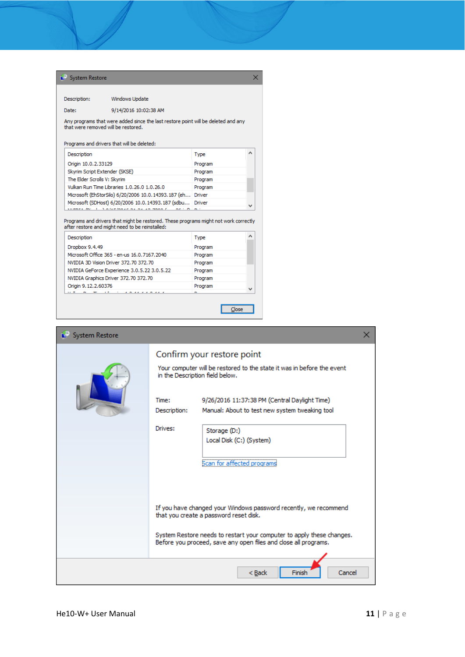|                                                   | System Restore                                                                                                                          |         |  |
|---------------------------------------------------|-----------------------------------------------------------------------------------------------------------------------------------------|---------|--|
| Description:                                      | Windows Update                                                                                                                          |         |  |
| Date:                                             | 9/14/2016 10:02:38 AM                                                                                                                   |         |  |
|                                                   | Any programs that were added since the last restore point will be deleted and any<br>that were removed will be restored.                |         |  |
|                                                   | Programs and drivers that will be deleted:                                                                                              |         |  |
| Description                                       |                                                                                                                                         | Type    |  |
| Origin 10.0.2.33129                               |                                                                                                                                         | Program |  |
| Skyrim Script Extender (SKSE)                     |                                                                                                                                         | Program |  |
| The Elder Scrolls V: Skyrim                       |                                                                                                                                         | Program |  |
|                                                   | Vulkan Run Time Libraries 1.0.26.0 1.0.26.0                                                                                             | Program |  |
|                                                   | Microsoft (EhStorSilo) 6/20/2006 10.0.14393.187 (eh                                                                                     | Driver  |  |
| Microsoft (SDHost) 6/20/2006 10.0.14393.187 (sdbu |                                                                                                                                         |         |  |
|                                                   |                                                                                                                                         | Driver  |  |
|                                                   | Commerciales - L. A milar innae na na an-mnon i                                                                                         |         |  |
| Description                                       | Programs and drivers that might be restored. These programs might not work correctly<br>after restore and might need to be reinstalled: | Type    |  |
| Dropbox 9.4.49                                    |                                                                                                                                         | Program |  |
|                                                   | Microsoft Office 365 - en-us 16.0.7167.2040                                                                                             | Program |  |
|                                                   | NVIDIA 3D Vision Driver 372,70 372,70                                                                                                   | Program |  |
|                                                   | NVIDIA GeForce Experience 3.0.5.22 3.0.5.22                                                                                             | Program |  |
|                                                   | NVIDIA Graphics Driver 372.70 372.70                                                                                                    | Program |  |
| Origin 9, 12, 2, 60376                            |                                                                                                                                         | Program |  |

| System Restore |                                                                                                                                                                                                                                                                                                                                                          | × |
|----------------|----------------------------------------------------------------------------------------------------------------------------------------------------------------------------------------------------------------------------------------------------------------------------------------------------------------------------------------------------------|---|
|                | Confirm your restore point<br>Your computer will be restored to the state it was in before the event<br>in the Description field below.<br>9/26/2016 11:37:38 PM (Central Daylight Time)<br>Time:<br>Description:<br>Manual: About to test new system tweaking tool<br>Drives:<br>Storage (D:)<br>Local Disk (C:) (System)<br>Scan for affected programs |   |
|                | If you have changed your Windows password recently, we recommend<br>that you create a password reset disk.<br>System Restore needs to restart your computer to apply these changes.<br>Before you proceed, save any open files and close all programs.                                                                                                   |   |
|                | $Back$<br>Cancel<br>Finish                                                                                                                                                                                                                                                                                                                               |   |